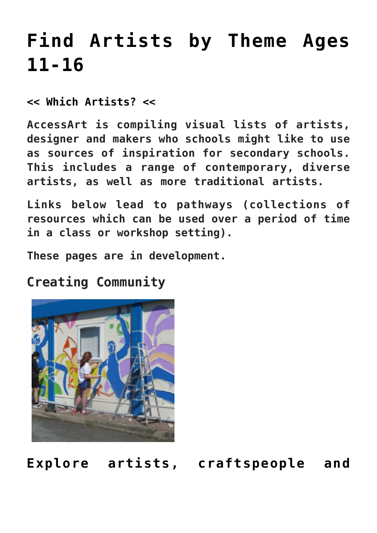# **[Find Artists by Theme Ages](https://www.accessart.org.uk/find-artists-by-theme-11-16/) [11-16](https://www.accessart.org.uk/find-artists-by-theme-11-16/)**

**[<< Which Artists? <<](https://www.accessart.org.uk/which-artists/)**

**AccessArt is compiling visual lists of artists, designer and makers who schools might like to use as sources of inspiration for secondary schools. This includes a range of contemporary, diverse artists, as well as more traditional artists.**

**Links below lead to pathways (collections of resources which can be used over a period of time in a class or workshop setting).**

**These pages are in development.** 

#### **Creating Community**



**[Explore artists, craftspeople and](https://www.accessart.org.uk/which-artists-creating-community-11-16/)**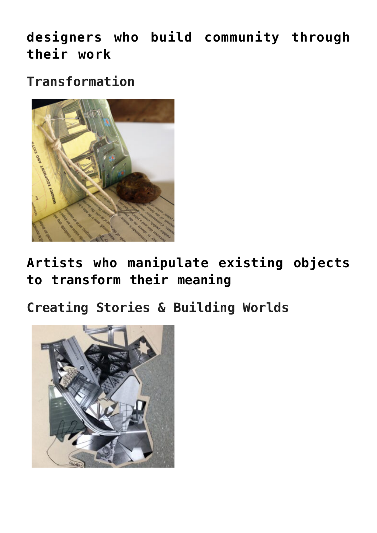**[designers who build community through](https://www.accessart.org.uk/which-artists-creating-community-11-16/) [their work](https://www.accessart.org.uk/which-artists-creating-community-11-16/)**

**Transformation**



**[Artists who manipulate existing objects](https://www.accessart.org.uk/which-artists-11-16/) [to transform their meaning](https://www.accessart.org.uk/which-artists-11-16/)**

**Creating Stories & Building Worlds**

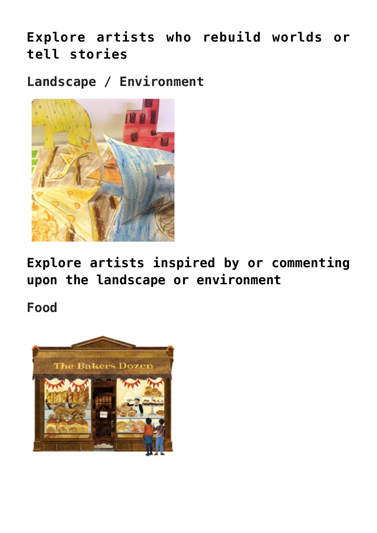## **[Explore artists who rebuild worlds or](https://www.accessart.org.uk/which-artists-template-umbrella-11-16/) [tell stories](https://www.accessart.org.uk/which-artists-template-umbrella-11-16/)**

**Landscape / Environment**



**[Explore artists inspired by or commenting](https://www.accessart.org.uk/which-artists-environment-11-16/) [upon the landscape or environment](https://www.accessart.org.uk/which-artists-environment-11-16/)**

**Food**

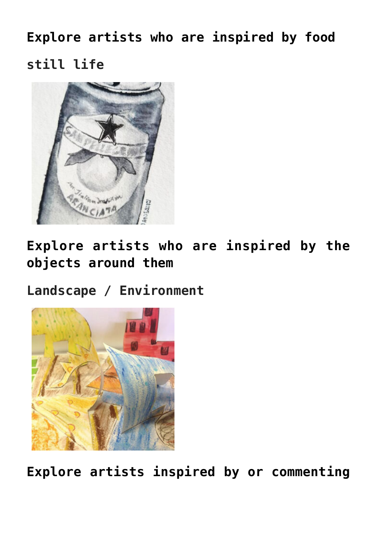**[Explore artists who are inspired by food](https://www.accessart.org.uk/which-artists-food-11-16/) still life**



**[Explore artists who are inspired by the](https://www.accessart.org.uk/which-artists-stilllife-11-16/) [objects around them](https://www.accessart.org.uk/which-artists-stilllife-11-16/)**

**Landscape / Environment**



**[Explore artists inspired by or commenting](https://www.accessart.org.uk/which-artists-environment-11-16/)**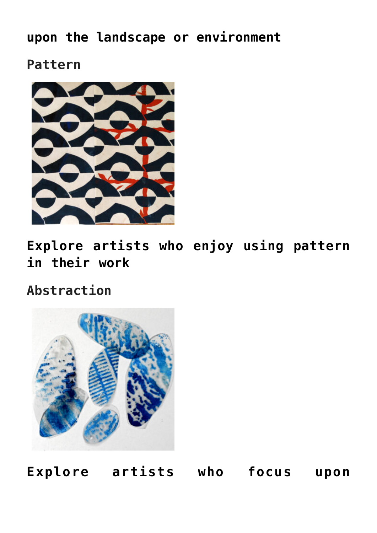**[upon the landscape or environment](https://www.accessart.org.uk/which-artists-environment-11-16/)**

**Pattern**



**[Explore artists who enjoy using pattern](https://www.accessart.org.uk/which-artists-pattern-11-16/) [in their work](https://www.accessart.org.uk/which-artists-pattern-11-16/)**

**Abstraction**



**[Explore artists who focus upon](https://www.accessart.org.uk/which-artists-abstraction-11-16/)**